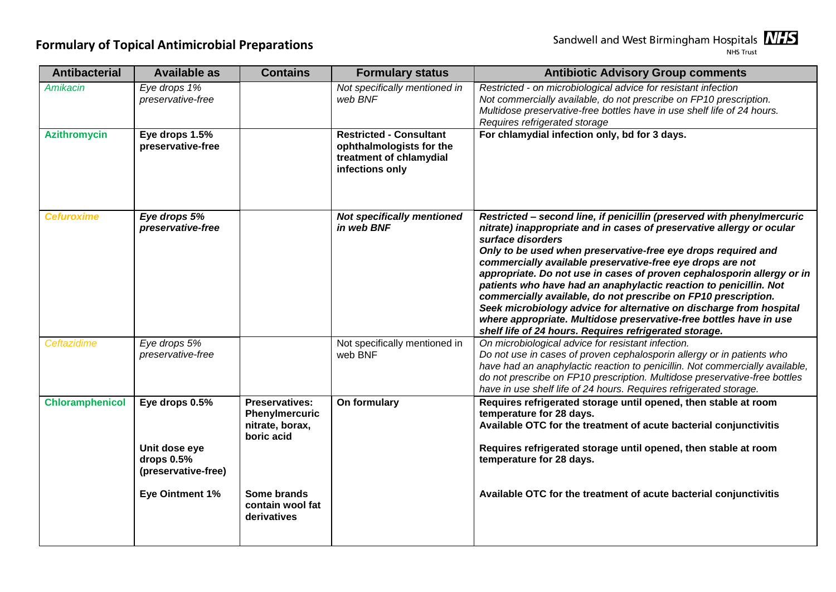| <b>Antibacterial</b>   | <b>Available as</b>                 | <b>Contains</b>                                                          | <b>Formulary status</b>                                                                                  | <b>Antibiotic Advisory Group comments</b>                                                                                                                                                                                                                                                                                                                                                                                                                                                                                                                                                                                                                                                                                   |
|------------------------|-------------------------------------|--------------------------------------------------------------------------|----------------------------------------------------------------------------------------------------------|-----------------------------------------------------------------------------------------------------------------------------------------------------------------------------------------------------------------------------------------------------------------------------------------------------------------------------------------------------------------------------------------------------------------------------------------------------------------------------------------------------------------------------------------------------------------------------------------------------------------------------------------------------------------------------------------------------------------------------|
| <b>Amikacin</b>        | Eye drops 1%<br>preservative-free   |                                                                          | Not specifically mentioned in<br>web BNF                                                                 | Restricted - on microbiological advice for resistant infection<br>Not commercially available, do not prescribe on FP10 prescription.<br>Multidose preservative-free bottles have in use shelf life of 24 hours.<br>Requires refrigerated storage                                                                                                                                                                                                                                                                                                                                                                                                                                                                            |
| <b>Azithromycin</b>    | Eye drops 1.5%<br>preservative-free |                                                                          | <b>Restricted - Consultant</b><br>ophthalmologists for the<br>treatment of chlamydial<br>infections only | For chlamydial infection only, bd for 3 days.                                                                                                                                                                                                                                                                                                                                                                                                                                                                                                                                                                                                                                                                               |
| <b>Cefuroxime</b>      | Eye drops 5%<br>preservative-free   |                                                                          | <b>Not specifically mentioned</b><br>in web BNF                                                          | Restricted - second line, if penicillin (preserved with phenylmercuric<br>nitrate) inappropriate and in cases of preservative allergy or ocular<br>surface disorders<br>Only to be used when preservative-free eye drops required and<br>commercially available preservative-free eye drops are not<br>appropriate. Do not use in cases of proven cephalosporin allergy or in<br>patients who have had an anaphylactic reaction to penicillin. Not<br>commercially available, do not prescribe on FP10 prescription.<br>Seek microbiology advice for alternative on discharge from hospital<br>where appropriate. Multidose preservative-free bottles have in use<br>shelf life of 24 hours. Requires refrigerated storage. |
| Ceftazidime            | Eye drops 5%<br>preservative-free   |                                                                          | Not specifically mentioned in<br>web BNF                                                                 | On microbiological advice for resistant infection.<br>Do not use in cases of proven cephalosporin allergy or in patients who<br>have had an anaphylactic reaction to penicillin. Not commercially available,<br>do not prescribe on FP10 prescription. Multidose preservative-free bottles<br>have in use shelf life of 24 hours. Requires refrigerated storage.                                                                                                                                                                                                                                                                                                                                                            |
| <b>Chloramphenicol</b> | Eye drops 0.5%<br>Unit dose eye     | <b>Preservatives:</b><br>Phenylmercuric<br>nitrate, borax,<br>boric acid | On formulary                                                                                             | Requires refrigerated storage until opened, then stable at room<br>temperature for 28 days.<br>Available OTC for the treatment of acute bacterial conjunctivitis<br>Requires refrigerated storage until opened, then stable at room                                                                                                                                                                                                                                                                                                                                                                                                                                                                                         |
|                        | drops 0.5%<br>(preservative-free)   |                                                                          |                                                                                                          | temperature for 28 days.                                                                                                                                                                                                                                                                                                                                                                                                                                                                                                                                                                                                                                                                                                    |
|                        | <b>Eye Ointment 1%</b>              | Some brands<br>contain wool fat<br>derivatives                           |                                                                                                          | Available OTC for the treatment of acute bacterial conjunctivitis                                                                                                                                                                                                                                                                                                                                                                                                                                                                                                                                                                                                                                                           |

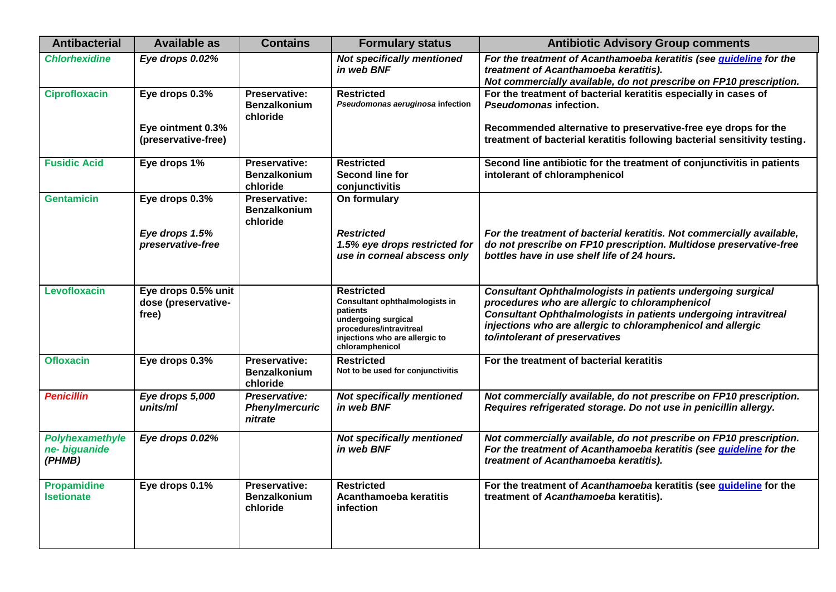| <b>Antibacterial</b>                       | <b>Available as</b>                                        | <b>Contains</b>                                         | <b>Formulary status</b>                                                                                                                                                | <b>Antibiotic Advisory Group comments</b>                                                                                                                                                                                                                                                |
|--------------------------------------------|------------------------------------------------------------|---------------------------------------------------------|------------------------------------------------------------------------------------------------------------------------------------------------------------------------|------------------------------------------------------------------------------------------------------------------------------------------------------------------------------------------------------------------------------------------------------------------------------------------|
| <b>Chlorhexidine</b>                       | Eye drops 0.02%                                            |                                                         | <b>Not specifically mentioned</b><br>in web BNF                                                                                                                        | For the treatment of Acanthamoeba keratitis (see <i>quideline</i> for the<br>treatment of Acanthamoeba keratitis).<br>Not commercially available, do not prescribe on FP10 prescription.                                                                                                 |
| <b>Ciprofloxacin</b>                       | Eye drops 0.3%<br>Eye ointment 0.3%<br>(preservative-free) | Preservative:<br><b>Benzalkonium</b><br>chloride        | <b>Restricted</b><br>Pseudomonas aeruginosa infection                                                                                                                  | For the treatment of bacterial keratitis especially in cases of<br><b>Pseudomonas infection.</b><br>Recommended alternative to preservative-free eye drops for the<br>treatment of bacterial keratitis following bacterial sensitivity testing.                                          |
| <b>Fusidic Acid</b>                        | Eye drops 1%                                               | <b>Preservative:</b><br><b>Benzalkonium</b><br>chloride | <b>Restricted</b><br>Second line for<br>conjunctivitis                                                                                                                 | Second line antibiotic for the treatment of conjunctivitis in patients<br>intolerant of chloramphenicol                                                                                                                                                                                  |
| <b>Gentamicin</b>                          | Eye drops 0.3%<br>Eye drops 1.5%<br>preservative-free      | <b>Preservative:</b><br><b>Benzalkonium</b><br>chloride | On formulary<br><b>Restricted</b><br>1.5% eye drops restricted for<br>use in corneal abscess only                                                                      | For the treatment of bacterial keratitis. Not commercially available,<br>do not prescribe on FP10 prescription. Multidose preservative-free<br>bottles have in use shelf life of 24 hours.                                                                                               |
| Levofloxacin                               | Eye drops 0.5% unit<br>dose (preservative-<br>free)        |                                                         | <b>Restricted</b><br>Consultant ophthalmologists in<br>patients<br>undergoing surgical<br>procedures/intravitreal<br>injections who are allergic to<br>chloramphenicol | <b>Consultant Ophthalmologists in patients undergoing surgical</b><br>procedures who are allergic to chloramphenicol<br>Consultant Ophthalmologists in patients undergoing intravitreal<br>injections who are allergic to chloramphenicol and allergic<br>to/intolerant of preservatives |
| <b>Ofloxacin</b>                           | Eye drops 0.3%                                             | Preservative:<br><b>Benzalkonium</b><br>chloride        | <b>Restricted</b><br>Not to be used for conjunctivitis                                                                                                                 | For the treatment of bacterial keratitis                                                                                                                                                                                                                                                 |
| <b>Penicillin</b>                          | Eye drops 5,000<br>units/ml                                | Preservative:<br>Phenylmercuric<br>nitrate              | <b>Not specifically mentioned</b><br>in web BNF                                                                                                                        | Not commercially available, do not prescribe on FP10 prescription.<br>Requires refrigerated storage. Do not use in penicillin allergy.                                                                                                                                                   |
| Polyhexamethyle<br>ne- biguanide<br>(PHMB) | Eye drops 0.02%                                            |                                                         | <b>Not specifically mentioned</b><br>in web BNF                                                                                                                        | Not commercially available, do not prescribe on FP10 prescription.<br>For the treatment of Acanthamoeba keratitis (see <i>guideline</i> for the<br>treatment of Acanthamoeba keratitis).                                                                                                 |
| <b>Propamidine</b><br><b>Isetionate</b>    | Eye drops 0.1%                                             | Preservative:<br><b>Benzalkonium</b><br>chloride        | <b>Restricted</b><br>Acanthamoeba keratitis<br>infection                                                                                                               | For the treatment of Acanthamoeba keratitis (see guideline for the<br>treatment of Acanthamoeba keratitis).                                                                                                                                                                              |